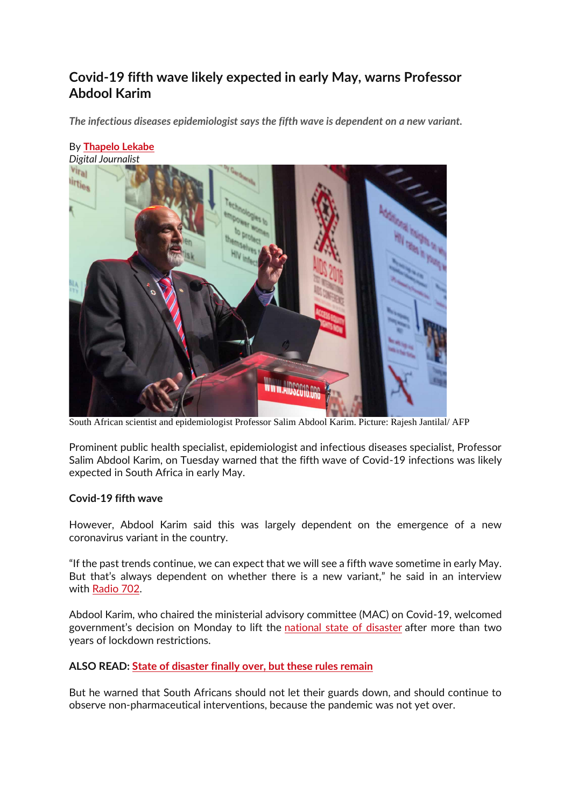# **Covid-19 fifth wave likely expected in early May, warns Professor Abdool Karim**

*The infectious diseases epidemiologist says the fifth wave is dependent on a new variant.*



South African scientist and epidemiologist Professor Salim Abdool Karim. Picture: Rajesh Jantilal/ AFP

Prominent public health specialist, epidemiologist and infectious diseases specialist, Professor Salim Abdool Karim, on Tuesday warned that the fifth wave of Covid-19 infections was likely expected in South Africa in early May.

## **Covid-19 fifth wave**

However, Abdool Karim said this was largely dependent on the emergence of a new coronavirus variant in the country.

"If the past trends continue, we can expect that we will see a fifth wave sometime in early May. But that's always dependent on whether there is a new variant," he said in an interview with [Radio 702.](https://www.702.co.za/articles/442404/we-must-remain-vigilant-although-national-state-of-disaster-has-been-lifted?ref=pid:94)

Abdool Karim, who chaired the ministerial advisory committee (MAC) on Covid-19, welcomed government's decision on Monday to lift the [national state of disaster](https://www.citizen.co.za/news/covid-19/3067397/state-of-disaster-terminated-ramaphosa-4-april-2022/) after more than two years of lockdown restrictions.

## **ALSO READ: [State of disaster finally over, but these rules remain](https://www.citizen.co.za/news/covid-19/3067397/state-of-disaster-terminated-ramaphosa-4-april-2022/)**

But he warned that South Africans should not let their guards down, and should continue to observe non-pharmaceutical interventions, because the pandemic was not yet over.

#### By **[Thapelo Lekabe](https://www.citizen.co.za/author/thapelo-lekabe/)** *Digital Journalist*